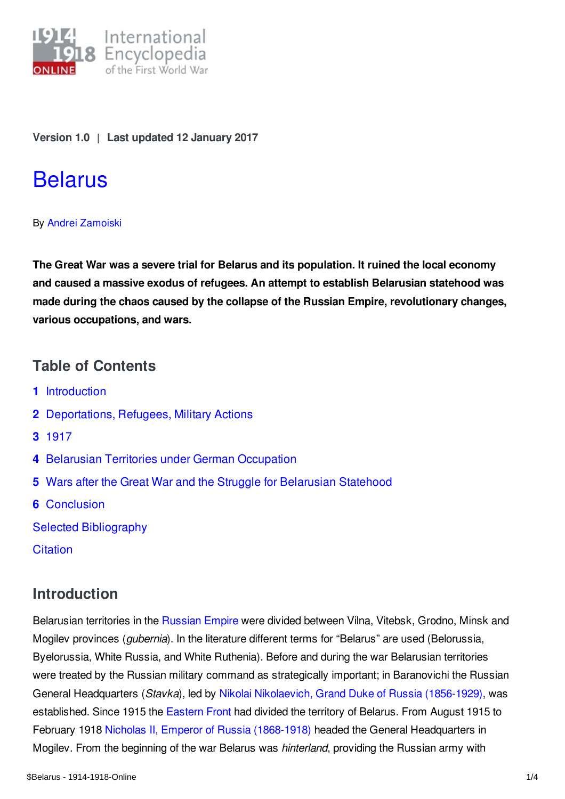

**Version 1.0** | **Last updated 12 January 2017**

# **[Belarus](https://encyclopedia.1914-1918-online.net/article/belarus)**

#### By Andrei [Zamoiski](https://encyclopedia.1914-1918-online.net/contributors/Andrei_Zamoiski)

**The Great War was a severe trial for Belarus and its population. It ruined the local economy and caused a massive exodus of refugees. An attempt to establish Belarusian statehood was made during the chaos caused by the collapse of the Russian Empire, revolutionary changes, various occupations, and wars.**

### **Table of Contents**

- **1** [Introduction](#page-0-0)
- **2** [Deportations,](#page-1-0) Refugees, Military Actions
- **3** [1917](#page-1-1)
- **4** Belarusian Territories under German [Occupation](#page-1-2)
- **5** Wars after the Great War and the Struggle for [Belarusian](#page-2-0) Statehood
- **6** [Conclusion](#page-2-1)
- Selected [Bibliography](#page-3-0)
- **[Citation](#page-3-1)**

## <span id="page-0-0"></span>**Introduction**

Belarusian territories in the [Russian](/article/russian_empire) Empire were divided between Vilna, Vitebsk, Grodno, Minsk and Mogilev provinces (*gubernia*). In the literature different terms for "Belarus" are used (Belorussia, Byelorussia, White Russia, and White Ruthenia). Before and during the war Belarusian territories were treated by the Russian military command as strategically important; in Baranovichi the Russian General Headquarters (*Stavka*), led by Nikolai [Nikolaevich,](/index/names/1049471938) Grand Duke of Russia (1856-1929), was established. Since 1915 the [Eastern](/article/eastern_front) Front had divided the territory of Belarus. From August 1915 to February 1918 Nicholas II, Emperor of Russia [\(1868-1918\)](/index/names/11873492X) headed the General Headquarters in Mogilev. From the beginning of the war Belarus was *hinterland*, providing the Russian army with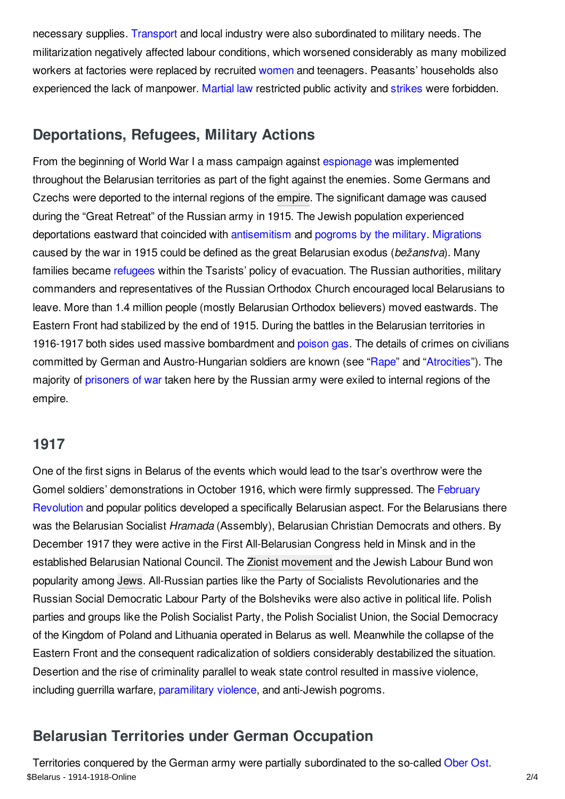necessary supplies. [Transport](/article/transportation_and_logistics) and local industry were also subordinated to military needs. The militarization negatively affected labour conditions, which worsened considerably as many mobilized workers at factories were replaced by recruited [women](/article/womens_mobilization_for_war_russian_empire) and teenagers. Peasants' households also experienced the lack of manpower. [Martial](/article/martial_law) law restricted public activity and [strikes](/article/labour_movements_trade_unions_and_strikes_russian_empire) were forbidden.

## <span id="page-1-0"></span>**Deportations, Refugees, Military Actions**

From the beginning of World War I a mass campaign against [espionage](/article/espionage) was implemented throughout the Belarusian territories as part of the fight against the enemies. Some Germans and Czechs were deported to the internal regions of the [empire](/article/empire). The significant damage was caused during the "Great Retreat" of the Russian army in 1915. The Jewish population experienced deportations eastward that coincided with [antisemitism](/article/antisemitism) and [pogroms](/article/antisemitism_and_pogromsin_the_military_russian_empire) by the military. [Migrations](/article/migration_and_mobility) caused by the war in 1915 could be defined as the great Belarusian exodus (*bežanstva*). Many families became [refugees](/article/refugees_russian_empire) within the Tsarists' policy of evacuation. The Russian authorities, military commanders and representatives of the Russian Orthodox Church encouraged local Belarusians to leave. More than 1.4 million people (mostly Belarusian Orthodox believers) moved eastwards. The Eastern Front had stabilized by the end of 1915. During the battles in the Belarusian territories in 1916-1917 both sides used massive bombardment and [poison](/article/gas_warfare) gas. The details of crimes on civilians committed by German and Austro-Hungarian soldiers are known (see ["Rape](/article/rape)" and ["Atrocities](/article/atrocities)"). The majority of [prisoners](/article/prisoners_of_war_austria-hungary) of war taken here by the Russian army were exiled to internal regions of the empire.

#### <span id="page-1-1"></span>**1917**

One of the first signs in Belarus of the events which would lead to the tsar's overthrow were the Gomel soldiers' [demonstrations](/article/revolutions_russian_empire) in October 1916, which were firmly suppressed. The February Revolution and popular politics developed a specifically Belarusian aspect. For the Belarusians there was the Belarusian Socialist *Hramada* (Assembly), Belarusian Christian Democrats and others. By December 1917 they were active in the First All-Belarusian Congress held in Minsk and in the established Belarusian National Council. The Zionist [movement](/article/zionism) and the Jewish Labour Bund won popularity among [Jews](/article/jewish_responses_to_the_war_east_central_europe). All-Russian parties like the Party of Socialists Revolutionaries and the Russian Social Democratic Labour Party of the Bolsheviks were also active in political life. Polish parties and groups like the Polish Socialist Party, the Polish Socialist Union, the Social Democracy of the Kingdom of Poland and Lithuania operated in Belarus as well. Meanwhile the collapse of the Eastern Front and the consequent radicalization of soldiers considerably destabilized the situation. Desertion and the rise of criminality parallel to weak state control resulted in massive violence, including guerrilla warfare, [paramilitary](/article/paramilitary_violence) violence, and anti-Jewish pogroms.

# <span id="page-1-2"></span>**Belarusian Territories under German Occupation**

Territories conquered by the German army were partially subordinated to the so-called [Ober](/article/ober_ost) Ost. \$Belarus - 1914-1918-Online 2/4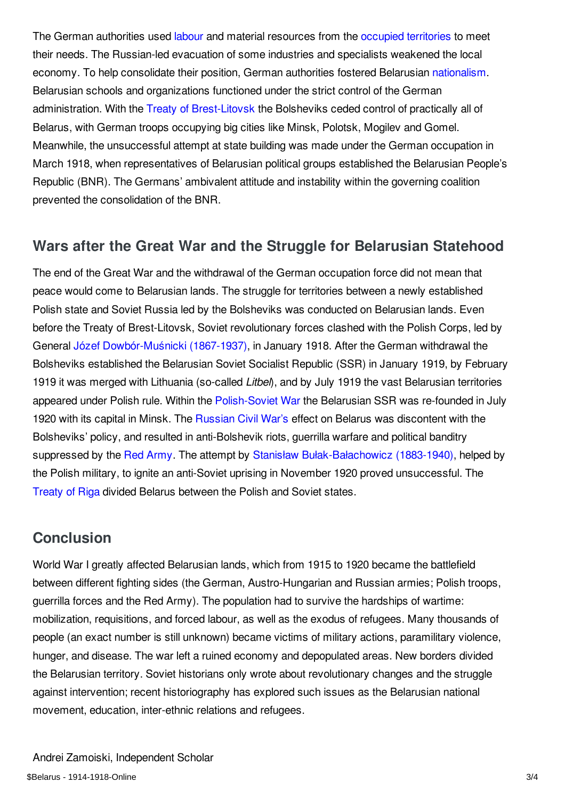The German authorities used [labour](/article/forced_labour) and material resources from the occupied [territories](/article/occupation_during_and_after_the_war_russian_empire) to meet their needs. The Russian-led evacuation of some industries and specialists weakened the local economy. To help consolidate their position, German authorities fostered Belarusian [nationalism](/article/nationalism). Belarusian schools and organizations functioned under the strict control of the German administration. With the Treaty of [Brest-Litovsk](/article/brest-litovsk_treaty_of) the Bolsheviks ceded control of practically all of Belarus, with German troops occupying big cities like Minsk, Polotsk, Mogilev and Gomel. Meanwhile, the unsuccessful attempt at state building was made under the German occupation in March 1918, when representatives of Belarusian political groups established the Belarusian People's Republic (BNR). The Germans' ambivalent attitude and instability within the governing coalition prevented the consolidation of the BNR.

## <span id="page-2-0"></span>**Wars after the Great War and the Struggle for Belarusian Statehood**

The end of the Great War and the withdrawal of the German occupation force did not mean that peace would come to Belarusian lands. The struggle for territories between a newly established Polish state and Soviet Russia led by the Bolsheviks was conducted on Belarusian lands. Even before the Treaty of Brest-Litovsk, Soviet revolutionary forces clashed with the Polish Corps, led by General Józef [Dowbór-Muśnicki](/index/names/118948741) (1867-1937), in January 1918. After the German withdrawal the Bolsheviks established the Belarusian Soviet Socialist Republic (SSR) in January 1919, by February 1919 it was merged with Lithuania (so-called *Litbel*), and by July 1919 the vast Belarusian territories appeared under Polish rule. Within the [Polish-Soviet](/article/polish-soviet_war_1920-1921) War the Belarusian SSR was re-founded in July 1920 with its capital in Minsk. The [Russian](/article/russian_civil_war) Civil War's effect on Belarus was discontent with the Bolsheviks' policy, and resulted in anti-Bolshevik riots, guerrilla warfare and political banditry suppressed by the Red [Army](/article/red_army). The attempt by Stanisław [Bułak-Bałachowicz](/index/names/119258099) (1883-1940), helped by the Polish military, to ignite an anti-Soviet uprising in November 1920 proved unsuccessful. The [Treaty](/article/riga_treaty_of) of Riga divided Belarus between the Polish and Soviet states.

## <span id="page-2-1"></span>**Conclusion**

World War I greatly affected Belarusian lands, which from 1915 to 1920 became the battlefield between different fighting sides (the German, Austro-Hungarian and Russian armies; Polish troops, guerrilla forces and the Red Army). The population had to survive the hardships of wartime: mobilization, requisitions, and forced labour, as well as the exodus of refugees. Many thousands of people (an exact number is still unknown) became victims of military actions, paramilitary violence, hunger, and disease. The war left a ruined economy and depopulated areas. New borders divided the Belarusian territory. Soviet historians only wrote about revolutionary changes and the struggle against intervention; recent historiography has explored such issues as the Belarusian national movement, education, inter-ethnic relations and refugees.

Andrei Zamoiski, Independent Scholar \$Belarus - 1914-1918-Online 3/4